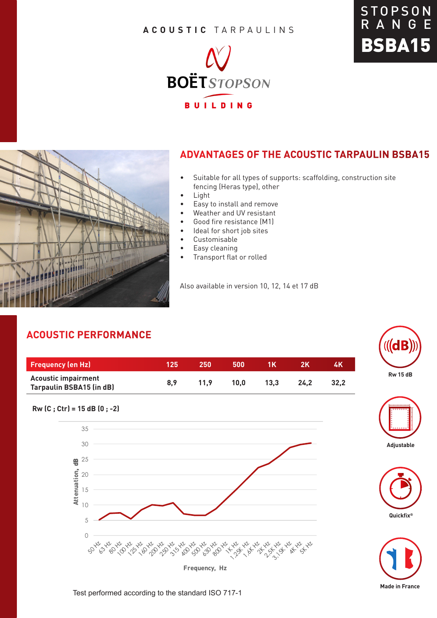#### **ACOUSTIC** TARPAULINS







### **ADVANTAGES OF THE ACOUSTIC TARPAULIN BSBA15**

- Suitable for all types of supports: scaffolding, construction site fencing (Heras type), other
- Light
- Easy to install and remove
- Weather and UV resistant
- Good fire resistance (M1)
- Ideal for short job sites
- Customisable
- Easy cleaning
- Transport flat or rolled

Also available in version 10, 12, 14 et 17 dB

## **ACOUSTIC PERFORMANCE**

| <b>Frequency (en Hz)</b>                                      | 125 | 250  | 500  | 1 K  |      | 4K   |
|---------------------------------------------------------------|-----|------|------|------|------|------|
| <b>Acoustic impairment</b><br><b>Tarpaulin BSBA15 (in dB)</b> | 8.9 | 11.9 | 10.0 | 13.3 | 24.2 | 32.2 |













Test performed according to the standard ISO 717-1